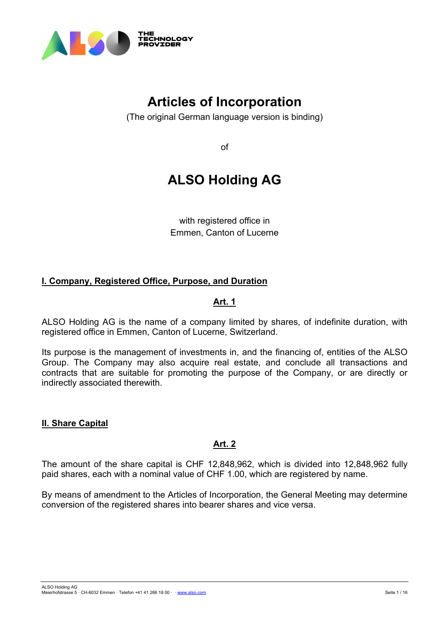

# **Articles of Incorporation**

(The original German language version is binding)

of

# **ALSO Holding AG**

with registered office in Emmen, Canton of Lucerne

# **I. Company, Registered Office, Purpose, and Duration**

# **Art. 1**

ALSO Holding AG is the name of a company limited by shares, of indefinite duration, with registered office in Emmen, Canton of Lucerne, Switzerland.

Its purpose is the management of investments in, and the financing of, entities of the ALSO Group. The Company may also acquire real estate, and conclude all transactions and contracts that are suitable for promoting the purpose of the Company, or are directly or indirectly associated therewith.

# **II. Share Capital**

# **Art. 2**

The amount of the share capital is CHF 12,848,962, which is divided into 12,848,962 fully paid shares, each with a nominal value of CHF 1.00, which are registered by name.

By means of amendment to the Articles of Incorporation, the General Meeting may determine conversion of the registered shares into bearer shares and vice versa.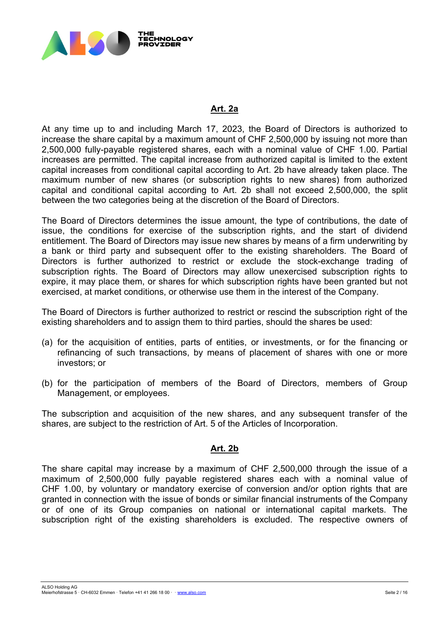

## **Art. 2a**

At any time up to and including March 17, 2023, the Board of Directors is authorized to increase the share capital by a maximum amount of CHF 2,500,000 by issuing not more than 2,500,000 fully-payable registered shares, each with a nominal value of CHF 1.00. Partial increases are permitted. The capital increase from authorized capital is limited to the extent capital increases from conditional capital according to Art. 2b have already taken place. The maximum number of new shares (or subscription rights to new shares) from authorized capital and conditional capital according to Art. 2b shall not exceed 2,500,000, the split between the two categories being at the discretion of the Board of Directors.

The Board of Directors determines the issue amount, the type of contributions, the date of issue, the conditions for exercise of the subscription rights, and the start of dividend entitlement. The Board of Directors may issue new shares by means of a firm underwriting by a bank or third party and subsequent offer to the existing shareholders. The Board of Directors is further authorized to restrict or exclude the stock-exchange trading of subscription rights. The Board of Directors may allow unexercised subscription rights to expire, it may place them, or shares for which subscription rights have been granted but not exercised, at market conditions, or otherwise use them in the interest of the Company.

The Board of Directors is further authorized to restrict or rescind the subscription right of the existing shareholders and to assign them to third parties, should the shares be used:

- (a) for the acquisition of entities, parts of entities, or investments, or for the financing or refinancing of such transactions, by means of placement of shares with one or more investors; or
- (b) for the participation of members of the Board of Directors, members of Group Management, or employees.

The subscription and acquisition of the new shares, and any subsequent transfer of the shares, are subject to the restriction of Art. 5 of the Articles of Incorporation.

## **Art. 2b**

The share capital may increase by a maximum of CHF 2,500,000 through the issue of a maximum of 2,500,000 fully payable registered shares each with a nominal value of CHF 1.00, by voluntary or mandatory exercise of conversion and/or option rights that are granted in connection with the issue of bonds or similar financial instruments of the Company or of one of its Group companies on national or international capital markets. The subscription right of the existing shareholders is excluded. The respective owners of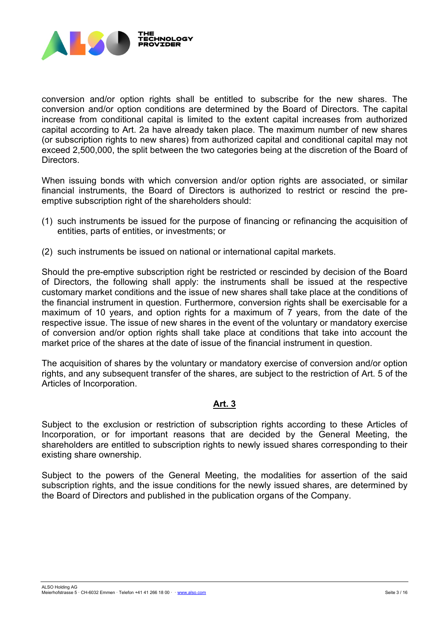

conversion and/or option rights shall be entitled to subscribe for the new shares. The conversion and/or option conditions are determined by the Board of Directors. The capital increase from conditional capital is limited to the extent capital increases from authorized capital according to Art. 2a have already taken place. The maximum number of new shares (or subscription rights to new shares) from authorized capital and conditional capital may not exceed 2,500,000, the split between the two categories being at the discretion of the Board of Directors.

When issuing bonds with which conversion and/or option rights are associated, or similar financial instruments, the Board of Directors is authorized to restrict or rescind the preemptive subscription right of the shareholders should:

- (1) such instruments be issued for the purpose of financing or refinancing the acquisition of entities, parts of entities, or investments; or
- (2) such instruments be issued on national or international capital markets.

Should the pre-emptive subscription right be restricted or rescinded by decision of the Board of Directors, the following shall apply: the instruments shall be issued at the respective customary market conditions and the issue of new shares shall take place at the conditions of the financial instrument in question. Furthermore, conversion rights shall be exercisable for a maximum of 10 years, and option rights for a maximum of 7 years, from the date of the respective issue. The issue of new shares in the event of the voluntary or mandatory exercise of conversion and/or option rights shall take place at conditions that take into account the market price of the shares at the date of issue of the financial instrument in question.

The acquisition of shares by the voluntary or mandatory exercise of conversion and/or option rights, and any subsequent transfer of the shares, are subject to the restriction of Art. 5 of the Articles of Incorporation.

# **Art. 3**

Subject to the exclusion or restriction of subscription rights according to these Articles of Incorporation, or for important reasons that are decided by the General Meeting, the shareholders are entitled to subscription rights to newly issued shares corresponding to their existing share ownership.

Subject to the powers of the General Meeting, the modalities for assertion of the said subscription rights, and the issue conditions for the newly issued shares, are determined by the Board of Directors and published in the publication organs of the Company.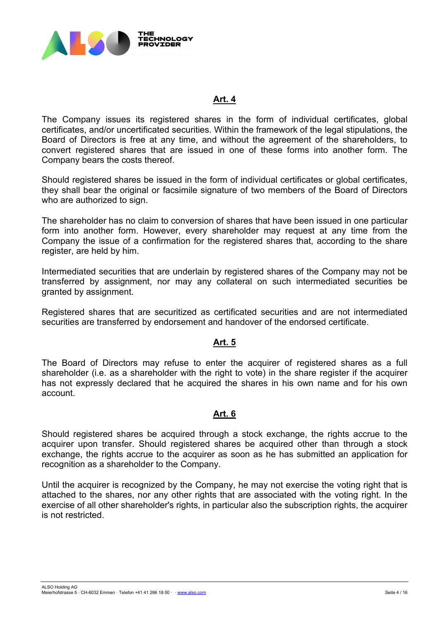

## **Art. 4**

The Company issues its registered shares in the form of individual certificates, global certificates, and/or uncertificated securities. Within the framework of the legal stipulations, the Board of Directors is free at any time, and without the agreement of the shareholders, to convert registered shares that are issued in one of these forms into another form. The Company bears the costs thereof.

Should registered shares be issued in the form of individual certificates or global certificates, they shall bear the original or facsimile signature of two members of the Board of Directors who are authorized to sign.

The shareholder has no claim to conversion of shares that have been issued in one particular form into another form. However, every shareholder may request at any time from the Company the issue of a confirmation for the registered shares that, according to the share register, are held by him.

Intermediated securities that are underlain by registered shares of the Company may not be transferred by assignment, nor may any collateral on such intermediated securities be granted by assignment.

Registered shares that are securitized as certificated securities and are not intermediated securities are transferred by endorsement and handover of the endorsed certificate.

## **Art. 5**

The Board of Directors may refuse to enter the acquirer of registered shares as a full shareholder (i.e. as a shareholder with the right to vote) in the share register if the acquirer has not expressly declared that he acquired the shares in his own name and for his own account.

#### **Art. 6**

Should registered shares be acquired through a stock exchange, the rights accrue to the acquirer upon transfer. Should registered shares be acquired other than through a stock exchange, the rights accrue to the acquirer as soon as he has submitted an application for recognition as a shareholder to the Company.

Until the acquirer is recognized by the Company, he may not exercise the voting right that is attached to the shares, nor any other rights that are associated with the voting right. In the exercise of all other shareholder's rights, in particular also the subscription rights, the acquirer is not restricted.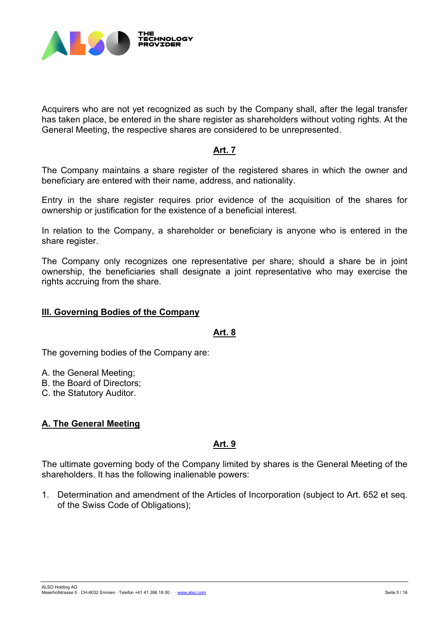

Acquirers who are not yet recognized as such by the Company shall, after the legal transfer has taken place, be entered in the share register as shareholders without voting rights. At the General Meeting, the respective shares are considered to be unrepresented.

## **Art. 7**

The Company maintains a share register of the registered shares in which the owner and beneficiary are entered with their name, address, and nationality.

Entry in the share register requires prior evidence of the acquisition of the shares for ownership or justification for the existence of a beneficial interest.

In relation to the Company, a shareholder or beneficiary is anyone who is entered in the share register.

The Company only recognizes one representative per share; should a share be in joint ownership, the beneficiaries shall designate a joint representative who may exercise the rights accruing from the share.

#### **III. Governing Bodies of the Company**

**Art. 8**

The governing bodies of the Company are:

A. the General Meeting;

B. the Board of Directors;

C. the Statutory Auditor.

# **A. The General Meeting**

## **Art. 9**

The ultimate governing body of the Company limited by shares is the General Meeting of the shareholders. It has the following inalienable powers:

1. Determination and amendment of the Articles of Incorporation (subject to Art. 652 et seq. of the Swiss Code of Obligations);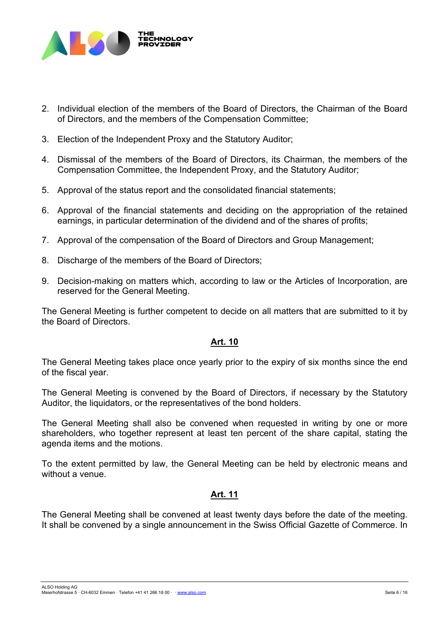

- 2. Individual election of the members of the Board of Directors, the Chairman of the Board of Directors, and the members of the Compensation Committee;
- 3. Election of the Independent Proxy and the Statutory Auditor;
- 4. Dismissal of the members of the Board of Directors, its Chairman, the members of the Compensation Committee, the Independent Proxy, and the Statutory Auditor;
- 5. Approval of the status report and the consolidated financial statements;
- 6. Approval of the financial statements and deciding on the appropriation of the retained earnings, in particular determination of the dividend and of the shares of profits;
- 7. Approval of the compensation of the Board of Directors and Group Management;
- 8. Discharge of the members of the Board of Directors;
- 9. Decision-making on matters which, according to law or the Articles of Incorporation, are reserved for the General Meeting.

The General Meeting is further competent to decide on all matters that are submitted to it by the Board of Directors.

## **Art. 10**

The General Meeting takes place once yearly prior to the expiry of six months since the end of the fiscal year.

The General Meeting is convened by the Board of Directors, if necessary by the Statutory Auditor, the liquidators, or the representatives of the bond holders.

The General Meeting shall also be convened when requested in writing by one or more shareholders, who together represent at least ten percent of the share capital, stating the agenda items and the motions.

To the extent permitted by law, the General Meeting can be held by electronic means and without a venue.

# **Art. 11**

The General Meeting shall be convened at least twenty days before the date of the meeting. It shall be convened by a single announcement in the Swiss Official Gazette of Commerce. In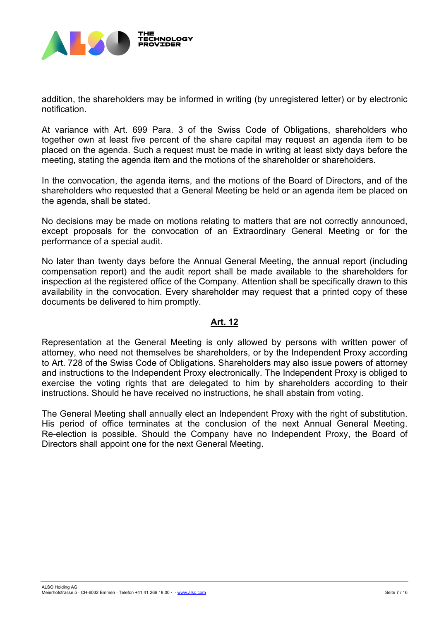

addition, the shareholders may be informed in writing (by unregistered letter) or by electronic notification.

At variance with Art. 699 Para. 3 of the Swiss Code of Obligations, shareholders who together own at least five percent of the share capital may request an agenda item to be placed on the agenda. Such a request must be made in writing at least sixty days before the meeting, stating the agenda item and the motions of the shareholder or shareholders.

In the convocation, the agenda items, and the motions of the Board of Directors, and of the shareholders who requested that a General Meeting be held or an agenda item be placed on the agenda, shall be stated.

No decisions may be made on motions relating to matters that are not correctly announced, except proposals for the convocation of an Extraordinary General Meeting or for the performance of a special audit.

No later than twenty days before the Annual General Meeting, the annual report (including compensation report) and the audit report shall be made available to the shareholders for inspection at the registered office of the Company. Attention shall be specifically drawn to this availability in the convocation. Every shareholder may request that a printed copy of these documents be delivered to him promptly.

## **Art. 12**

Representation at the General Meeting is only allowed by persons with written power of attorney, who need not themselves be shareholders, or by the Independent Proxy according to Art. 728 of the Swiss Code of Obligations. Shareholders may also issue powers of attorney and instructions to the Independent Proxy electronically. The Independent Proxy is obliged to exercise the voting rights that are delegated to him by shareholders according to their instructions. Should he have received no instructions, he shall abstain from voting.

The General Meeting shall annually elect an Independent Proxy with the right of substitution. His period of office terminates at the conclusion of the next Annual General Meeting. Re-election is possible. Should the Company have no Independent Proxy, the Board of Directors shall appoint one for the next General Meeting.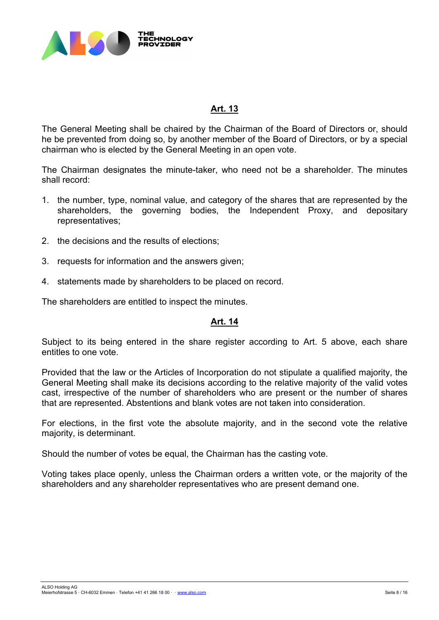

## **Art. 13**

The General Meeting shall be chaired by the Chairman of the Board of Directors or, should he be prevented from doing so, by another member of the Board of Directors, or by a special chairman who is elected by the General Meeting in an open vote.

The Chairman designates the minute-taker, who need not be a shareholder. The minutes shall record:

- 1. the number, type, nominal value, and category of the shares that are represented by the shareholders, the governing bodies, the Independent Proxy, and depositary representatives;
- 2. the decisions and the results of elections;
- 3. requests for information and the answers given;
- 4. statements made by shareholders to be placed on record.

The shareholders are entitled to inspect the minutes.

## **Art. 14**

Subject to its being entered in the share register according to Art. 5 above, each share entitles to one vote.

Provided that the law or the Articles of Incorporation do not stipulate a qualified majority, the General Meeting shall make its decisions according to the relative majority of the valid votes cast, irrespective of the number of shareholders who are present or the number of shares that are represented. Abstentions and blank votes are not taken into consideration.

For elections, in the first vote the absolute majority, and in the second vote the relative majority, is determinant.

Should the number of votes be equal, the Chairman has the casting vote.

Voting takes place openly, unless the Chairman orders a written vote, or the majority of the shareholders and any shareholder representatives who are present demand one.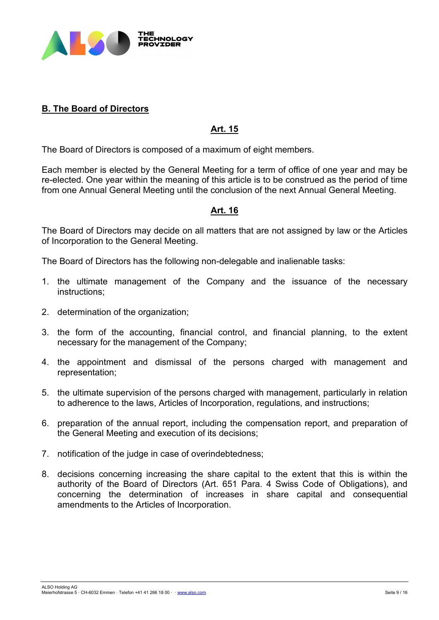

# **B. The Board of Directors**

# **Art. 15**

The Board of Directors is composed of a maximum of eight members.

Each member is elected by the General Meeting for a term of office of one year and may be re-elected. One year within the meaning of this article is to be construed as the period of time from one Annual General Meeting until the conclusion of the next Annual General Meeting.

## **Art. 16**

The Board of Directors may decide on all matters that are not assigned by law or the Articles of Incorporation to the General Meeting.

The Board of Directors has the following non-delegable and inalienable tasks:

- 1. the ultimate management of the Company and the issuance of the necessary instructions;
- 2. determination of the organization;
- 3. the form of the accounting, financial control, and financial planning, to the extent necessary for the management of the Company;
- 4. the appointment and dismissal of the persons charged with management and representation;
- 5. the ultimate supervision of the persons charged with management, particularly in relation to adherence to the laws, Articles of Incorporation, regulations, and instructions;
- 6. preparation of the annual report, including the compensation report, and preparation of the General Meeting and execution of its decisions;
- 7. notification of the judge in case of overindebtedness;
- 8. decisions concerning increasing the share capital to the extent that this is within the authority of the Board of Directors (Art. 651 Para. 4 Swiss Code of Obligations), and concerning the determination of increases in share capital and consequential amendments to the Articles of Incorporation.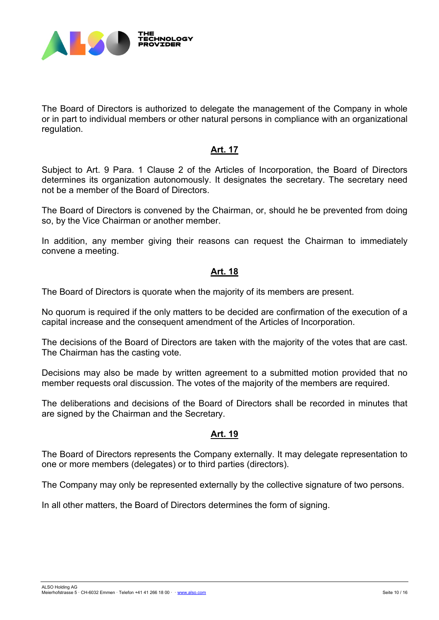

The Board of Directors is authorized to delegate the management of the Company in whole or in part to individual members or other natural persons in compliance with an organizational regulation.

## **Art. 17**

Subject to Art. 9 Para. 1 Clause 2 of the Articles of Incorporation, the Board of Directors determines its organization autonomously. It designates the secretary. The secretary need not be a member of the Board of Directors.

The Board of Directors is convened by the Chairman, or, should he be prevented from doing so, by the Vice Chairman or another member.

In addition, any member giving their reasons can request the Chairman to immediately convene a meeting.

#### **Art. 18**

The Board of Directors is quorate when the majority of its members are present.

No quorum is required if the only matters to be decided are confirmation of the execution of a capital increase and the consequent amendment of the Articles of Incorporation.

The decisions of the Board of Directors are taken with the majority of the votes that are cast. The Chairman has the casting vote.

Decisions may also be made by written agreement to a submitted motion provided that no member requests oral discussion. The votes of the majority of the members are required.

The deliberations and decisions of the Board of Directors shall be recorded in minutes that are signed by the Chairman and the Secretary.

# **Art. 19**

The Board of Directors represents the Company externally. It may delegate representation to one or more members (delegates) or to third parties (directors).

The Company may only be represented externally by the collective signature of two persons.

In all other matters, the Board of Directors determines the form of signing.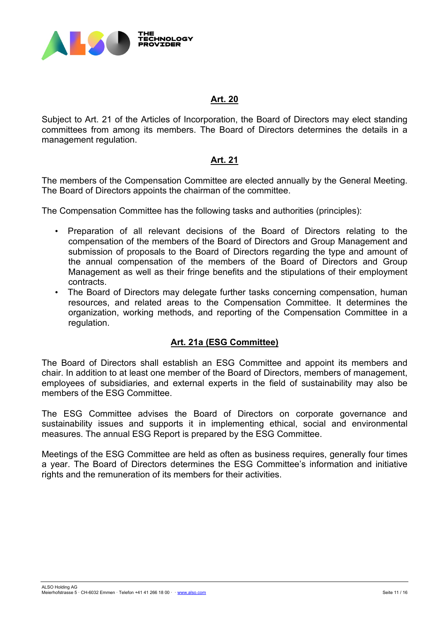

## **Art. 20**

Subject to Art. 21 of the Articles of Incorporation, the Board of Directors may elect standing committees from among its members. The Board of Directors determines the details in a management regulation.

## **Art. 21**

The members of the Compensation Committee are elected annually by the General Meeting. The Board of Directors appoints the chairman of the committee.

The Compensation Committee has the following tasks and authorities (principles):

- Preparation of all relevant decisions of the Board of Directors relating to the compensation of the members of the Board of Directors and Group Management and submission of proposals to the Board of Directors regarding the type and amount of the annual compensation of the members of the Board of Directors and Group Management as well as their fringe benefits and the stipulations of their employment contracts.
- The Board of Directors may delegate further tasks concerning compensation, human resources, and related areas to the Compensation Committee. It determines the organization, working methods, and reporting of the Compensation Committee in a regulation.

## **Art. 21a (ESG Committee)**

The Board of Directors shall establish an ESG Committee and appoint its members and chair. In addition to at least one member of the Board of Directors, members of management, employees of subsidiaries, and external experts in the field of sustainability may also be members of the ESG Committee.

The ESG Committee advises the Board of Directors on corporate governance and sustainability issues and supports it in implementing ethical, social and environmental measures. The annual ESG Report is prepared by the ESG Committee.

Meetings of the ESG Committee are held as often as business requires, generally four times a year. The Board of Directors determines the ESG Committee's information and initiative rights and the remuneration of its members for their activities.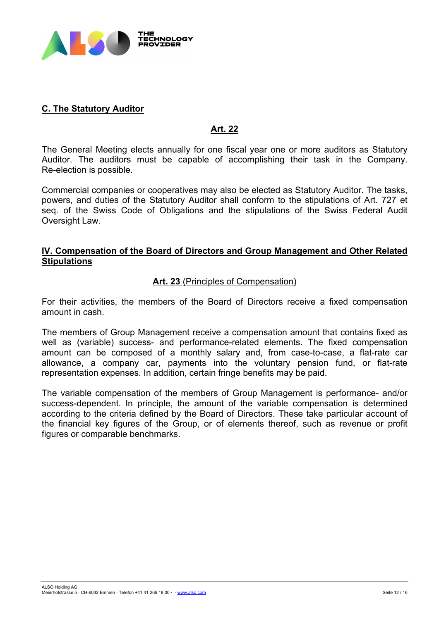

# **C. The Statutory Auditor**

## **Art. 22**

The General Meeting elects annually for one fiscal year one or more auditors as Statutory Auditor. The auditors must be capable of accomplishing their task in the Company. Re-election is possible.

Commercial companies or cooperatives may also be elected as Statutory Auditor. The tasks, powers, and duties of the Statutory Auditor shall conform to the stipulations of Art. 727 et seq. of the Swiss Code of Obligations and the stipulations of the Swiss Federal Audit Oversight Law.

## **IV. Compensation of the Board of Directors and Group Management and Other Related Stipulations**

## **Art. 23** (Principles of Compensation)

For their activities, the members of the Board of Directors receive a fixed compensation amount in cash.

The members of Group Management receive a compensation amount that contains fixed as well as (variable) success- and performance-related elements. The fixed compensation amount can be composed of a monthly salary and, from case-to-case, a flat-rate car allowance, a company car, payments into the voluntary pension fund, or flat-rate representation expenses. In addition, certain fringe benefits may be paid.

The variable compensation of the members of Group Management is performance- and/or success-dependent. In principle, the amount of the variable compensation is determined according to the criteria defined by the Board of Directors. These take particular account of the financial key figures of the Group, or of elements thereof, such as revenue or profit figures or comparable benchmarks.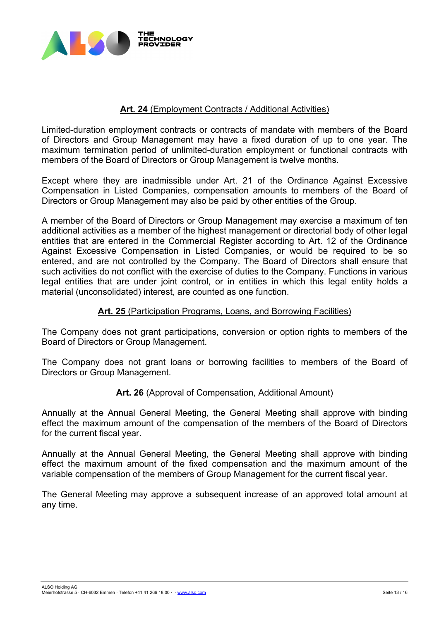

## **Art. 24** (Employment Contracts / Additional Activities)

Limited-duration employment contracts or contracts of mandate with members of the Board of Directors and Group Management may have a fixed duration of up to one year. The maximum termination period of unlimited-duration employment or functional contracts with members of the Board of Directors or Group Management is twelve months.

Except where they are inadmissible under Art. 21 of the Ordinance Against Excessive Compensation in Listed Companies, compensation amounts to members of the Board of Directors or Group Management may also be paid by other entities of the Group.

A member of the Board of Directors or Group Management may exercise a maximum of ten additional activities as a member of the highest management or directorial body of other legal entities that are entered in the Commercial Register according to Art. 12 of the Ordinance Against Excessive Compensation in Listed Companies, or would be required to be so entered, and are not controlled by the Company. The Board of Directors shall ensure that such activities do not conflict with the exercise of duties to the Company. Functions in various legal entities that are under joint control, or in entities in which this legal entity holds a material (unconsolidated) interest, are counted as one function.

## **Art. 25** (Participation Programs, Loans, and Borrowing Facilities)

The Company does not grant participations, conversion or option rights to members of the Board of Directors or Group Management.

The Company does not grant loans or borrowing facilities to members of the Board of Directors or Group Management.

## **Art. 26** (Approval of Compensation, Additional Amount)

Annually at the Annual General Meeting, the General Meeting shall approve with binding effect the maximum amount of the compensation of the members of the Board of Directors for the current fiscal year.

Annually at the Annual General Meeting, the General Meeting shall approve with binding effect the maximum amount of the fixed compensation and the maximum amount of the variable compensation of the members of Group Management for the current fiscal year.

The General Meeting may approve a subsequent increase of an approved total amount at any time.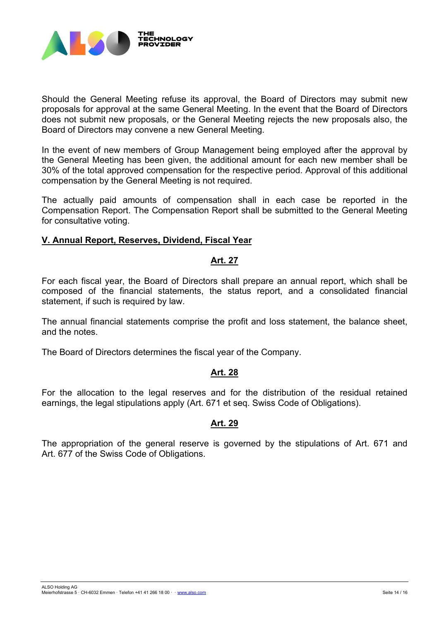

Should the General Meeting refuse its approval, the Board of Directors may submit new proposals for approval at the same General Meeting. In the event that the Board of Directors does not submit new proposals, or the General Meeting rejects the new proposals also, the Board of Directors may convene a new General Meeting.

In the event of new members of Group Management being employed after the approval by the General Meeting has been given, the additional amount for each new member shall be 30% of the total approved compensation for the respective period. Approval of this additional compensation by the General Meeting is not required.

The actually paid amounts of compensation shall in each case be reported in the Compensation Report. The Compensation Report shall be submitted to the General Meeting for consultative voting.

## **V. Annual Report, Reserves, Dividend, Fiscal Year**

## **Art. 27**

For each fiscal year, the Board of Directors shall prepare an annual report, which shall be composed of the financial statements, the status report, and a consolidated financial statement, if such is required by law.

The annual financial statements comprise the profit and loss statement, the balance sheet, and the notes.

The Board of Directors determines the fiscal year of the Company.

## **Art. 28**

For the allocation to the legal reserves and for the distribution of the residual retained earnings, the legal stipulations apply (Art. 671 et seq. Swiss Code of Obligations).

## **Art. 29**

The appropriation of the general reserve is governed by the stipulations of Art. 671 and Art. 677 of the Swiss Code of Obligations.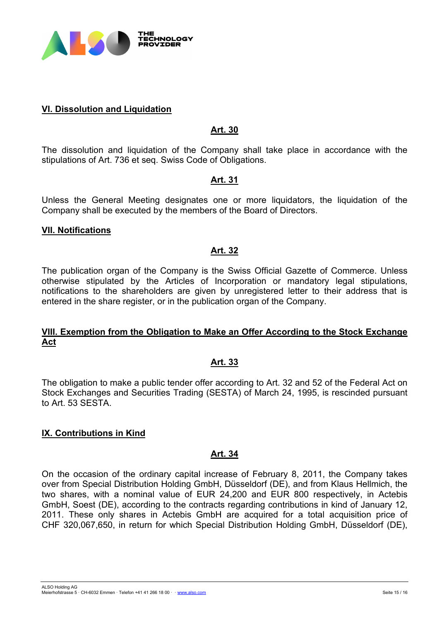

## **VI. Dissolution and Liquidation**

## **Art. 30**

The dissolution and liquidation of the Company shall take place in accordance with the stipulations of Art. 736 et seq. Swiss Code of Obligations.

#### **Art. 31**

Unless the General Meeting designates one or more liquidators, the liquidation of the Company shall be executed by the members of the Board of Directors.

#### **VII. Notifications**

#### **Art. 32**

The publication organ of the Company is the Swiss Official Gazette of Commerce. Unless otherwise stipulated by the Articles of Incorporation or mandatory legal stipulations, notifications to the shareholders are given by unregistered letter to their address that is entered in the share register, or in the publication organ of the Company.

## **VIII. Exemption from the Obligation to Make an Offer According to the Stock Exchange Act**

#### **Art. 33**

The obligation to make a public tender offer according to Art. 32 and 52 of the Federal Act on Stock Exchanges and Securities Trading (SESTA) of March 24, 1995, is rescinded pursuant to Art. 53 SESTA.

#### **IX. Contributions in Kind**

#### **Art. 34**

On the occasion of the ordinary capital increase of February 8, 2011, the Company takes over from Special Distribution Holding GmbH, Düsseldorf (DE), and from Klaus Hellmich, the two shares, with a nominal value of EUR 24,200 and EUR 800 respectively, in Actebis GmbH, Soest (DE), according to the contracts regarding contributions in kind of January 12, 2011. These only shares in Actebis GmbH are acquired for a total acquisition price of CHF 320,067,650, in return for which Special Distribution Holding GmbH, Düsseldorf (DE),

ALSO Holding AG - Le Seite 15 / 16 and 17 and 17 and 17 and 17 and 17 and 17 and 17 and 17 and 17 and 18 and 17 and 18 and 17 and 18 and 18 and 18 and 18 and 18 and 18 and 18 and 18 and 18 and 18 and 18 and 18 and 18 and 18 and 18 and 18